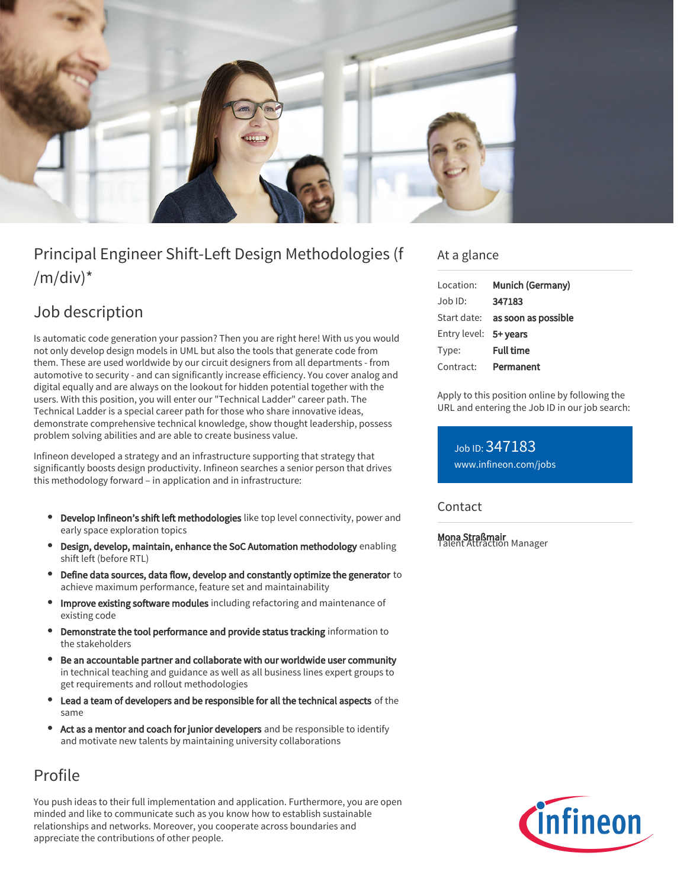

# Principal Engineer Shift-Left Design Methodologies (f  $/m/div)^*$

## Job description

Is automatic code generation your passion? Then you are right here! With us you would not only develop design models in UML but also the tools that generate code from them. These are used worldwide by our circuit designers from all departments - from automotive to security - and can significantly increase efficiency. You cover analog and digital equally and are always on the lookout for hidden potential together with the users. With this position, you will enter our "Technical Ladder" career path. The Technical Ladder is a special career path for those who share innovative ideas, demonstrate comprehensive technical knowledge, show thought leadership, possess problem solving abilities and are able to create business value.

Infineon developed a strategy and an infrastructure supporting that strategy that significantly boosts design productivity. Infineon searches a senior person that drives this methodology forward – in application and in infrastructure:

- Develop Infineon's shift left methodologies like top level connectivity, power and early space exploration topics
- Design, develop, maintain, enhance the SoC Automation methodology enabling shift left (before RTL)
- Define data sources, data flow, develop and constantly optimize the generator to achieve maximum performance, feature set and maintainability
- Improve existing software modules including refactoring and maintenance of existing code
- Demonstrate the tool performance and provide status tracking information to the stakeholders
- Be an accountable partner and collaborate with our worldwide user community in technical teaching and guidance as well as all business lines expert groups to get requirements and rollout methodologies
- Lead a team of developers and be responsible for all the technical aspects of the same
- Act as a mentor and coach for junior developers and be responsible to identify and motivate new talents by maintaining university collaborations

## Profile

You push ideas to their full implementation and application. Furthermore, you are open minded and like to communicate such as you know how to establish sustainable relationships and networks. Moreover, you cooperate across boundaries and appreciate the contributions of other people.

### At a glance

| Location:             | Munich (Germany)                       |
|-----------------------|----------------------------------------|
| Job ID:               | 347183                                 |
|                       | Start date: <b>as soon as possible</b> |
| Entry level: 5+ years |                                        |
| Type:                 | <b>Full time</b>                       |
| Contract:             | Permanent                              |

Apply to this position online by following the URL and entering the Job ID in our job search:

Job ID: 347183 [www.infineon.com/jobs](https://www.infineon.com/jobs)

#### Contact

Mona Straßmair Talent Attraction Manager